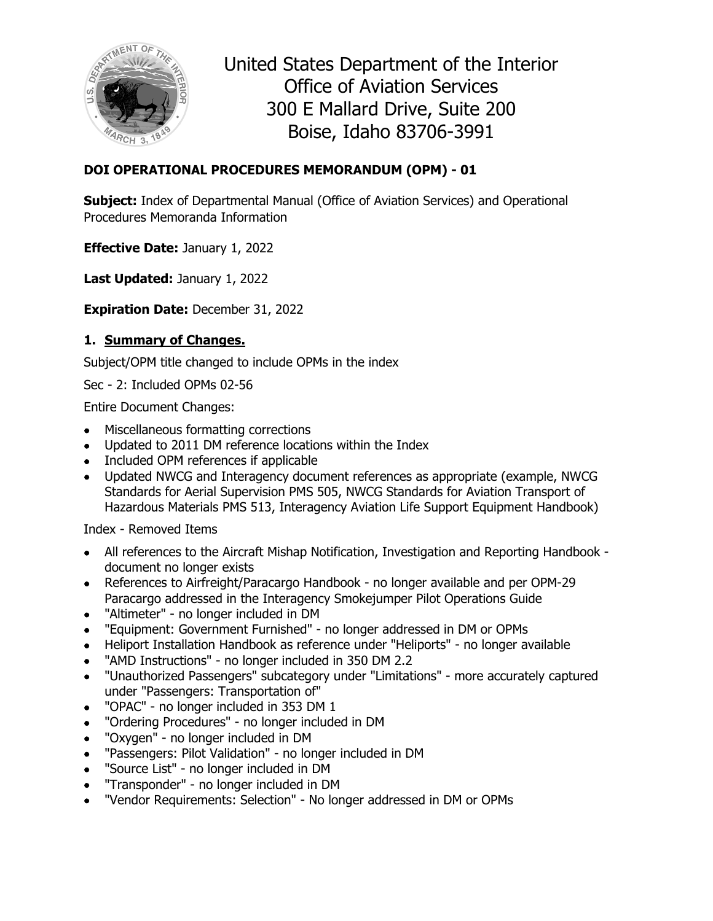

United States Department of the Interior Office of Aviation Services 300 E Mallard Drive, Suite 200 Boise, Idaho 83706-3991

# **DOI OPERATIONAL PROCEDURES MEMORANDUM (OPM) - 01**

**Subject:** Index of Departmental Manual (Office of Aviation Services) and Operational Procedures Memoranda Information

**Effective Date:** January 1, 2022

**Last Updated:** January 1, 2022

**Expiration Date:** December 31, 2022

# **1. Summary of Changes.**

Subject/OPM title changed to include OPMs in the index

Sec - 2: Included OPMs 02-56

Entire Document Changes:

- Miscellaneous formatting corrections
- Updated to 2011 DM reference locations within the Index
- Included OPM references if applicable
- Updated NWCG and Interagency document references as appropriate (example, NWCG Standards for Aerial Supervision PMS 505, NWCG Standards for Aviation Transport of Hazardous Materials PMS 513, Interagency Aviation Life Support Equipment Handbook)

Index - Removed Items

- All references to the Aircraft Mishap Notification, Investigation and Reporting Handbook document no longer exists
- References to Airfreight/Paracargo Handbook no longer available and per OPM-29 Paracargo addressed in the Interagency Smokejumper Pilot Operations Guide
- "Altimeter" no longer included in DM
- "Equipment: Government Furnished" no longer addressed in DM or OPMs
- Heliport Installation Handbook as reference under "Heliports" no longer available
- "AMD Instructions" no longer included in 350 DM 2.2
- "Unauthorized Passengers" subcategory under "Limitations" more accurately captured under "Passengers: Transportation of"
- "OPAC" no longer included in 353 DM 1
- "Ordering Procedures" no longer included in DM
- "Oxygen" no longer included in DM
- "Passengers: Pilot Validation" no longer included in DM
- "Source List" no longer included in DM
- "Transponder" no longer included in DM
- "Vendor Requirements: Selection" No longer addressed in DM or OPMs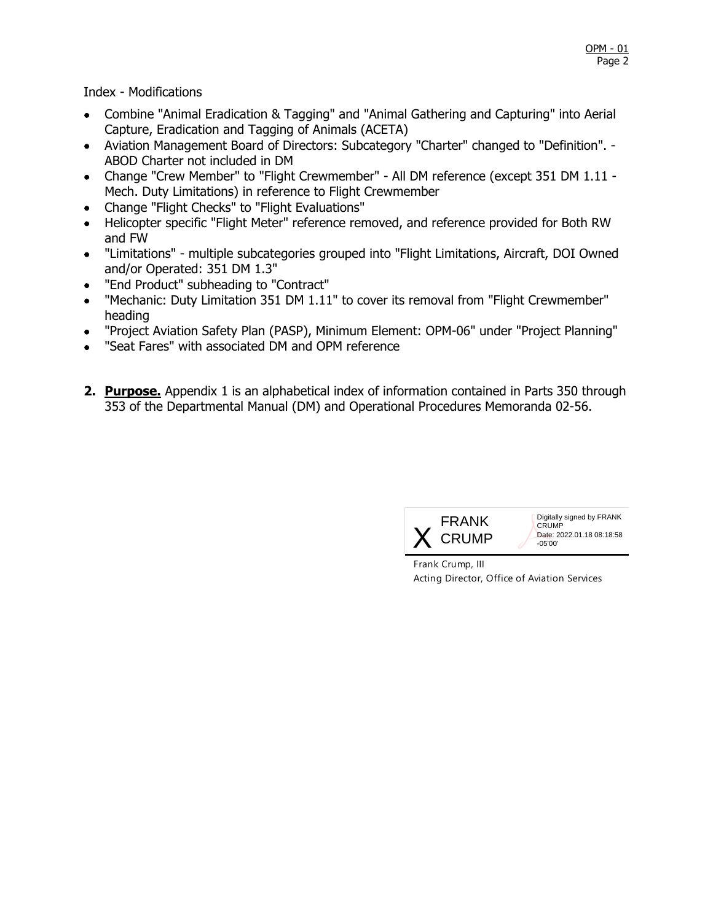Index - Modifications

- Combine "Animal Eradication & Tagging" and "Animal Gathering and Capturing" into Aerial Capture, Eradication and Tagging of Animals (ACETA)
- Aviation Management Board of Directors: Subcategory "Charter" changed to "Definition". ABOD Charter not included in DM
- Change "Crew Member" to "Flight Crewmember" All DM reference (except 351 DM 1.11 Mech. Duty Limitations) in reference to Flight Crewmember
- Change "Flight Checks" to "Flight Evaluations"
- Helicopter specific "Flight Meter" reference removed, and reference provided for Both RW and FW
- "Limitations" multiple subcategories grouped into "Flight Limitations, Aircraft, DOI Owned and/or Operated: 351 DM 1.3"
- "End Product" subheading to "Contract"
- "Mechanic: Duty Limitation 351 DM 1.11" to cover its removal from "Flight Crewmember" heading
- "Project Aviation Safety Plan (PASP), Minimum Element: OPM-06" under "Project Planning"
- "Seat Fares" with associated DM and OPM reference
- **2. Purpose.** Appendix 1 is an alphabetical index of information contained in Parts 350 through 353 of the Departmental Manual (DM) and Operational Procedures Memoranda 02-56.



Digitally signed by FRANK **CRUMP** Date: 2022.01.18 08:18:58 -05'00'

Frank Crump, III Acting Director, Office of Aviation Services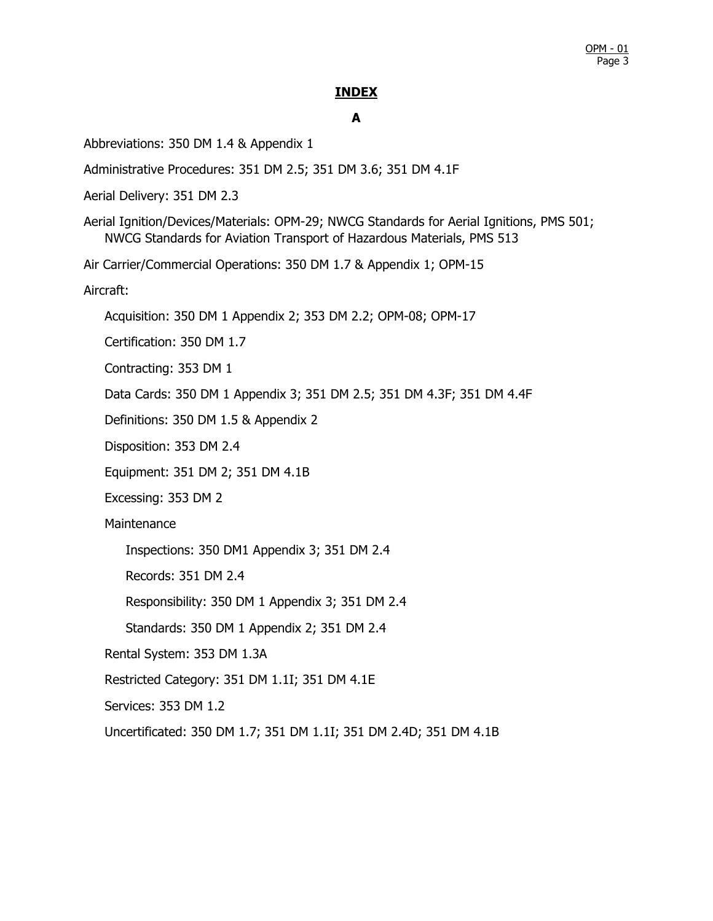### **INDEX**

# **A**

Abbreviations: 350 DM 1.4 & Appendix 1

Administrative Procedures: 351 DM 2.5; 351 DM 3.6; 351 DM 4.1F

Aerial Delivery: 351 DM 2.3

Aerial Ignition/Devices/Materials: OPM-29; NWCG Standards for Aerial Ignitions, PMS 501; NWCG Standards for Aviation Transport of Hazardous Materials, PMS 513

Air Carrier/Commercial Operations: 350 DM 1.7 & Appendix 1; OPM-15

Aircraft:

Acquisition: 350 DM 1 Appendix 2; 353 DM 2.2; OPM-08; OPM-17

Certification: 350 DM 1.7

Contracting: 353 DM 1

Data Cards: 350 DM 1 Appendix 3; 351 DM 2.5; 351 DM 4.3F; 351 DM 4.4F

Definitions: 350 DM 1.5 & Appendix 2

Disposition: 353 DM 2.4

Equipment: 351 DM 2; 351 DM 4.1B

Excessing: 353 DM 2

**Maintenance** 

Inspections: 350 DM1 Appendix 3; 351 DM 2.4

Records: 351 DM 2.4

Responsibility: 350 DM 1 Appendix 3; 351 DM 2.4

Standards: 350 DM 1 Appendix 2; 351 DM 2.4

Rental System: 353 DM 1.3A

Restricted Category: 351 DM 1.1I; 351 DM 4.1E

Services: 353 DM 1.2

Uncertificated: 350 DM 1.7; 351 DM 1.1I; 351 DM 2.4D; 351 DM 4.1B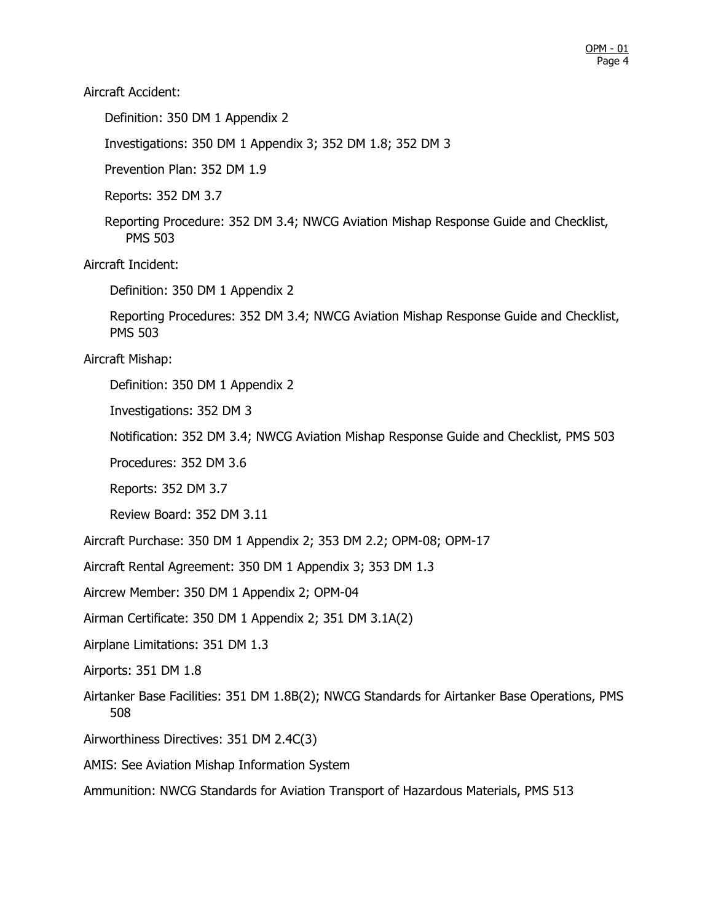Aircraft Accident:

Definition: 350 DM 1 Appendix 2

Investigations: 350 DM 1 Appendix 3; 352 DM 1.8; 352 DM 3

Prevention Plan: 352 DM 1.9

Reports: 352 DM 3.7

Reporting Procedure: 352 DM 3.4; NWCG Aviation Mishap Response Guide and Checklist, PMS 503

Aircraft Incident:

Definition: 350 DM 1 Appendix 2

Reporting Procedures: 352 DM 3.4; NWCG Aviation Mishap Response Guide and Checklist, PMS 503

Aircraft Mishap:

Definition: 350 DM 1 Appendix 2

Investigations: 352 DM 3

Notification: 352 DM 3.4; NWCG Aviation Mishap Response Guide and Checklist, PMS 503

Procedures: 352 DM 3.6

Reports: 352 DM 3.7

Review Board: 352 DM 3.11

Aircraft Purchase: 350 DM 1 Appendix 2; 353 DM 2.2; OPM-08; OPM-17

Aircraft Rental Agreement: 350 DM 1 Appendix 3; 353 DM 1.3

Aircrew Member: 350 DM 1 Appendix 2; OPM-04

Airman Certificate: 350 DM 1 Appendix 2; 351 DM 3.1A(2)

Airplane Limitations: 351 DM 1.3

Airports: 351 DM 1.8

- Airtanker Base Facilities: 351 DM 1.8B(2); NWCG Standards for Airtanker Base Operations, PMS 508
- Airworthiness Directives: 351 DM 2.4C(3)

AMIS: See Aviation Mishap Information System

Ammunition: NWCG Standards for Aviation Transport of Hazardous Materials, PMS 513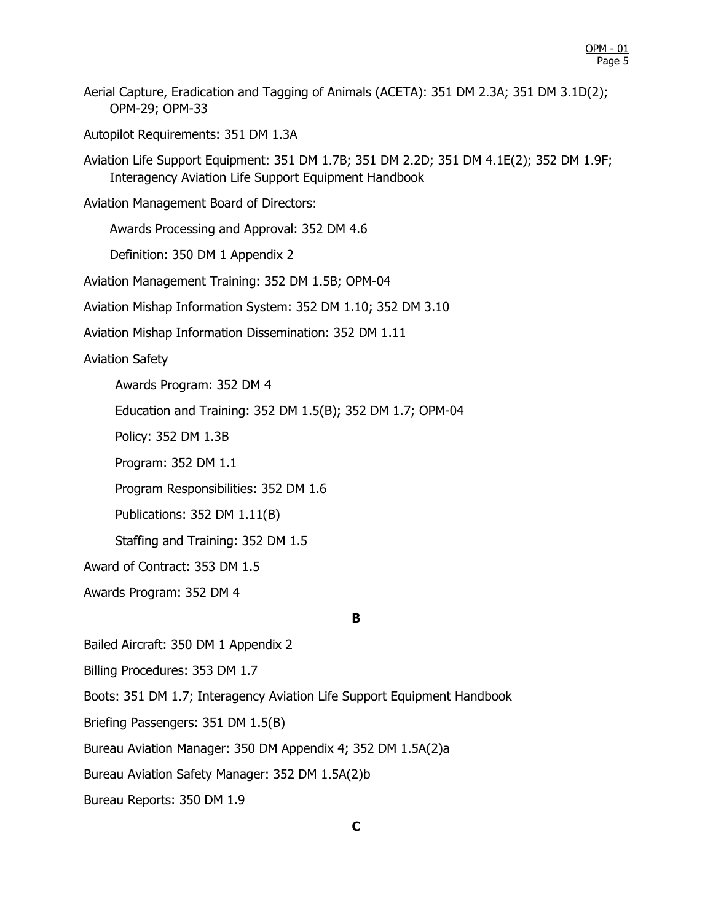Aerial Capture, Eradication and Tagging of Animals (ACETA): 351 DM 2.3A; 351 DM 3.1D(2); OPM-29; OPM-33

Autopilot Requirements: 351 DM 1.3A

Aviation Life Support Equipment: 351 DM 1.7B; 351 DM 2.2D; 351 DM 4.1E(2); 352 DM 1.9F; Interagency Aviation Life Support Equipment Handbook

Aviation Management Board of Directors:

Awards Processing and Approval: 352 DM 4.6

Definition: 350 DM 1 Appendix 2

Aviation Management Training: 352 DM 1.5B; OPM-04

Aviation Mishap Information System: 352 DM 1.10; 352 DM 3.10

Aviation Mishap Information Dissemination: 352 DM 1.11

Aviation Safety

Awards Program: 352 DM 4

Education and Training: 352 DM 1.5(B); 352 DM 1.7; OPM-04

Policy: 352 DM 1.3B

Program: 352 DM 1.1

Program Responsibilities: 352 DM 1.6

Publications: 352 DM 1.11(B)

Staffing and Training: 352 DM 1.5

Award of Contract: 353 DM 1.5

Awards Program: 352 DM 4

#### **B**

Bailed Aircraft: 350 DM 1 Appendix 2

Billing Procedures: 353 DM 1.7

Boots: 351 DM 1.7; Interagency Aviation Life Support Equipment Handbook

Briefing Passengers: 351 DM 1.5(B)

Bureau Aviation Manager: 350 DM Appendix 4; 352 DM 1.5A(2)a

Bureau Aviation Safety Manager: 352 DM 1.5A(2)b

Bureau Reports: 350 DM 1.9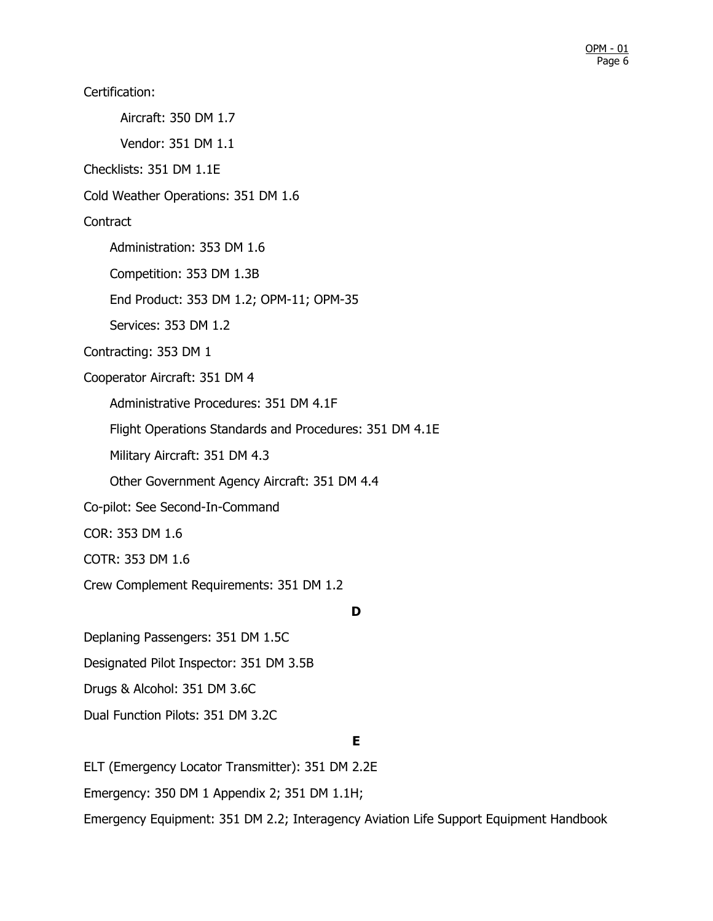Certification: Aircraft: 350 DM 1.7 Vendor: 351 DM 1.1 Checklists: 351 DM 1.1E Cold Weather Operations: 351 DM 1.6 **Contract** Administration: 353 DM 1.6 Competition: 353 DM 1.3B End Product: 353 DM 1.2; OPM-11; OPM-35 Services: 353 DM 1.2 Contracting: 353 DM 1 Cooperator Aircraft: 351 DM 4 Administrative Procedures: 351 DM 4.1F Flight Operations Standards and Procedures: 351 DM 4.1E Military Aircraft: 351 DM 4.3 Other Government Agency Aircraft: 351 DM 4.4 Co-pilot: See Second-In-Command COR: 353 DM 1.6 COTR: 353 DM 1.6 Crew Complement Requirements: 351 DM 1.2

**D**

Deplaning Passengers: 351 DM 1.5C Designated Pilot Inspector: 351 DM 3.5B Drugs & Alcohol: 351 DM 3.6C Dual Function Pilots: 351 DM 3.2C

# **E**

ELT (Emergency Locator Transmitter): 351 DM 2.2E Emergency: 350 DM 1 Appendix 2; 351 DM 1.1H; Emergency Equipment: 351 DM 2.2; Interagency Aviation Life Support Equipment Handbook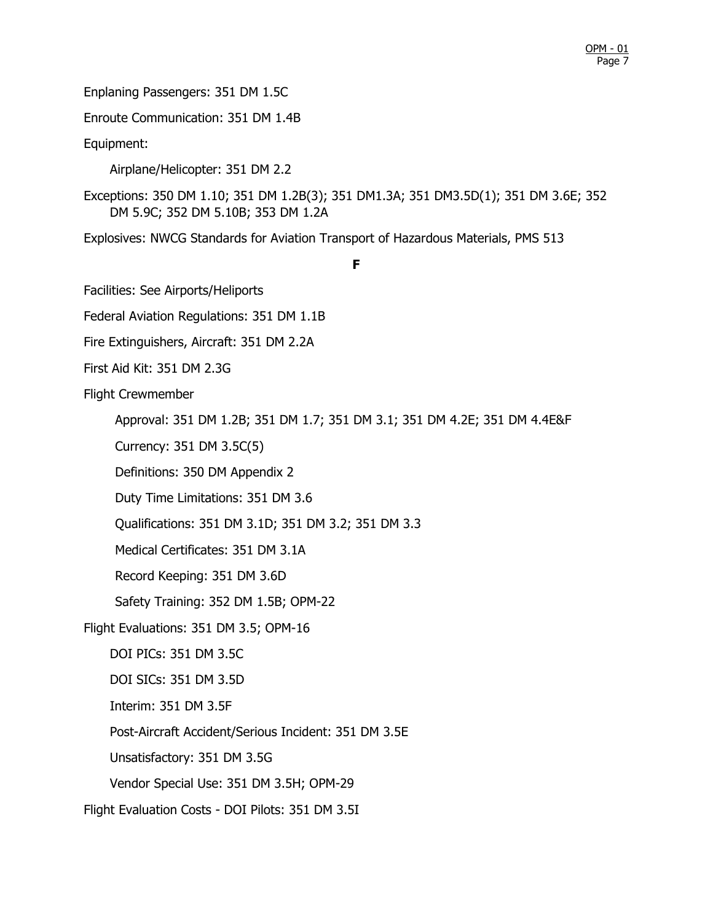Enplaning Passengers: 351 DM 1.5C

Enroute Communication: 351 DM 1.4B

Equipment:

Airplane/Helicopter: 351 DM 2.2

Exceptions: 350 DM 1.10; 351 DM 1.2B(3); 351 DM1.3A; 351 DM3.5D(1); 351 DM 3.6E; 352 DM 5.9C; 352 DM 5.10B; 353 DM 1.2A

Explosives: NWCG Standards for Aviation Transport of Hazardous Materials, PMS 513

**F**

Facilities: See Airports/Heliports

Federal Aviation Regulations: 351 DM 1.1B

Fire Extinguishers, Aircraft: 351 DM 2.2A

First Aid Kit: 351 DM 2.3G

Flight Crewmember

Approval: 351 DM 1.2B; 351 DM 1.7; 351 DM 3.1; 351 DM 4.2E; 351 DM 4.4E&F

Currency: 351 DM 3.5C(5)

Definitions: 350 DM Appendix 2

Duty Time Limitations: 351 DM 3.6

Qualifications: 351 DM 3.1D; 351 DM 3.2; 351 DM 3.3

Medical Certificates: 351 DM 3.1A

Record Keeping: 351 DM 3.6D

Safety Training: 352 DM 1.5B; OPM-22

Flight Evaluations: 351 DM 3.5; OPM-16

DOI PICs: 351 DM 3.5C

DOI SICs: 351 DM 3.5D

Interim: 351 DM 3.5F

Post-Aircraft Accident/Serious Incident: 351 DM 3.5E

Unsatisfactory: 351 DM 3.5G

Vendor Special Use: 351 DM 3.5H; OPM-29

Flight Evaluation Costs - DOI Pilots: 351 DM 3.5I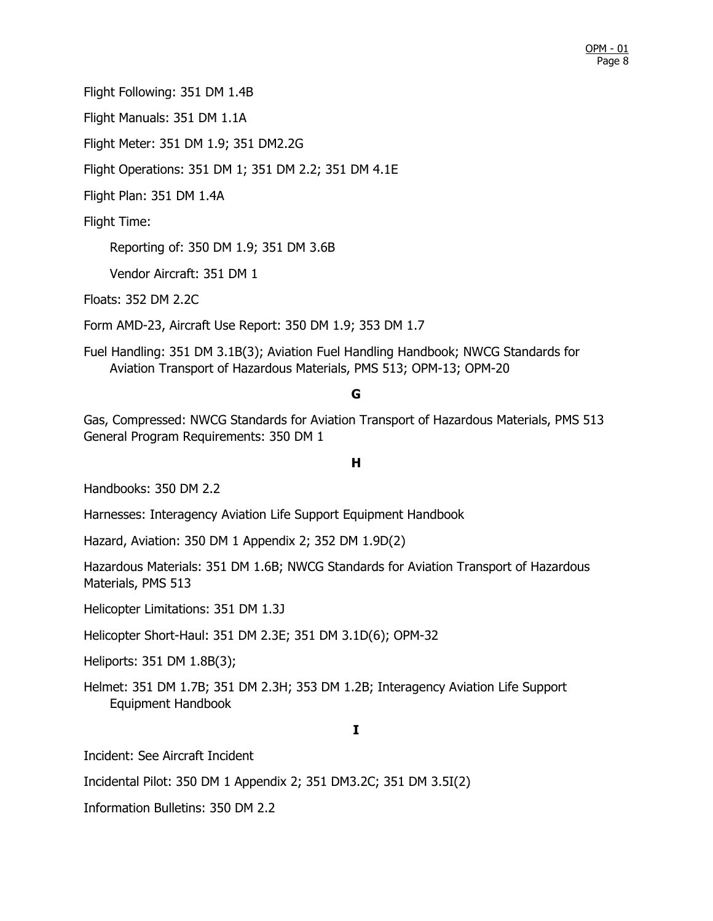Flight Following: 351 DM 1.4B

Flight Manuals: 351 DM 1.1A

Flight Meter: 351 DM 1.9; 351 DM2.2G

Flight Operations: 351 DM 1; 351 DM 2.2; 351 DM 4.1E

Flight Plan: 351 DM 1.4A

Flight Time:

Reporting of: 350 DM 1.9; 351 DM 3.6B

Vendor Aircraft: 351 DM 1

Floats: 352 DM 2.2C

Form AMD-23, Aircraft Use Report: 350 DM 1.9; 353 DM 1.7

Fuel Handling: 351 DM 3.1B(3); Aviation Fuel Handling Handbook; NWCG Standards for Aviation Transport of Hazardous Materials, PMS 513; OPM-13; OPM-20

## **G**

Gas, Compressed: NWCG Standards for Aviation Transport of Hazardous Materials, PMS 513 General Program Requirements: 350 DM 1

## **H**

Handbooks: 350 DM 2.2

Harnesses: Interagency Aviation Life Support Equipment Handbook

Hazard, Aviation: 350 DM 1 Appendix 2; 352 DM 1.9D(2)

Hazardous Materials: 351 DM 1.6B; NWCG Standards for Aviation Transport of Hazardous Materials, PMS 513

Helicopter Limitations: 351 DM 1.3J

Helicopter Short-Haul: 351 DM 2.3E; 351 DM 3.1D(6); OPM-32

Heliports: 351 DM 1.8B(3);

Helmet: 351 DM 1.7B; 351 DM 2.3H; 353 DM 1.2B; Interagency Aviation Life Support Equipment Handbook

# **I**

Incident: See Aircraft Incident

Incidental Pilot: 350 DM 1 Appendix 2; 351 DM3.2C; 351 DM 3.5I(2)

Information Bulletins: 350 DM 2.2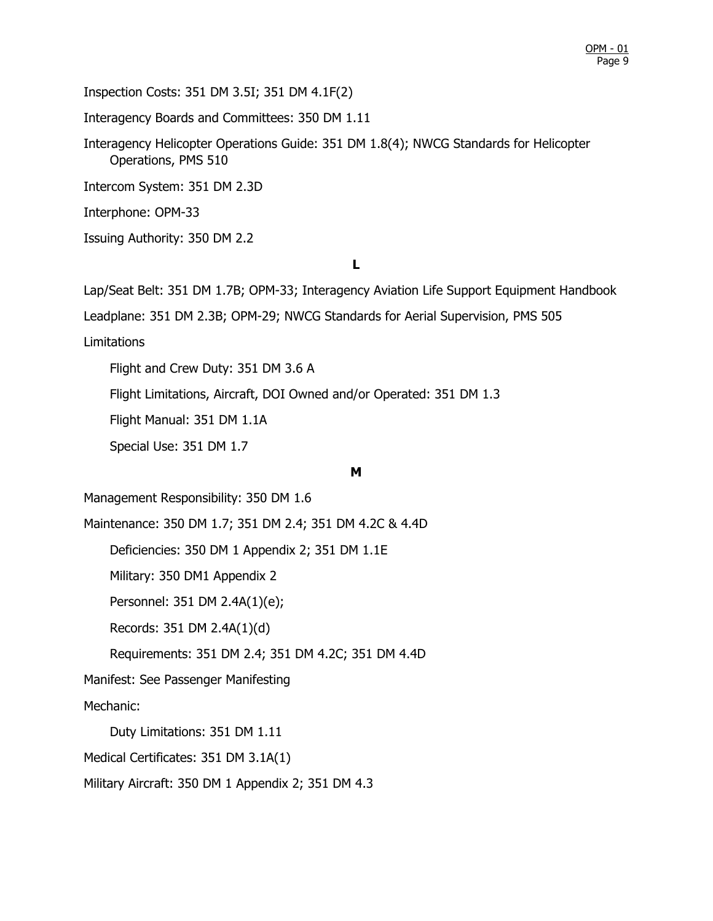Inspection Costs: 351 DM 3.5I; 351 DM 4.1F(2)

Interagency Boards and Committees: 350 DM 1.11

Interagency Helicopter Operations Guide: 351 DM 1.8(4); NWCG Standards for Helicopter Operations, PMS 510

Intercom System: 351 DM 2.3D

Interphone: OPM-33

Issuing Authority: 350 DM 2.2

### **L**

Lap/Seat Belt: 351 DM 1.7B; OPM-33; Interagency Aviation Life Support Equipment Handbook

Leadplane: 351 DM 2.3B; OPM-29; NWCG Standards for Aerial Supervision, PMS 505

Limitations

Flight and Crew Duty: 351 DM 3.6 A

Flight Limitations, Aircraft, DOI Owned and/or Operated: 351 DM 1.3

Flight Manual: 351 DM 1.1A

Special Use: 351 DM 1.7

#### **M**

Management Responsibility: 350 DM 1.6

Maintenance: 350 DM 1.7; 351 DM 2.4; 351 DM 4.2C & 4.4D

Deficiencies: 350 DM 1 Appendix 2; 351 DM 1.1E

Military: 350 DM1 Appendix 2

Personnel: 351 DM 2.4A(1)(e);

Records: 351 DM 2.4A(1)(d)

Requirements: 351 DM 2.4; 351 DM 4.2C; 351 DM 4.4D

Manifest: See Passenger Manifesting

Mechanic:

Duty Limitations: 351 DM 1.11

Medical Certificates: 351 DM 3.1A(1)

Military Aircraft: 350 DM 1 Appendix 2; 351 DM 4.3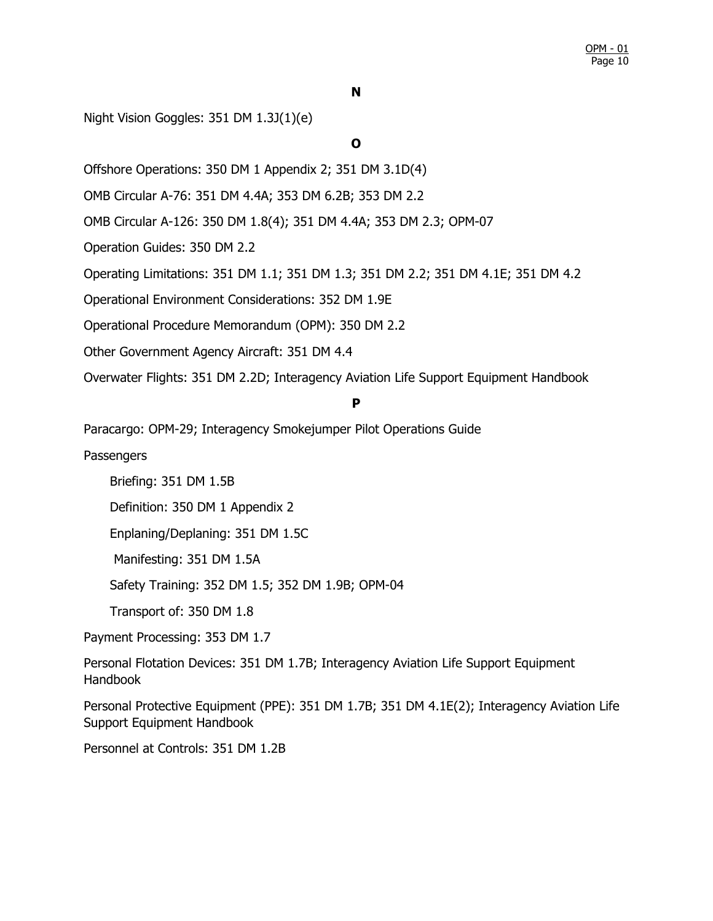Night Vision Goggles: 351 DM 1.3J(1)(e)

**O**

Offshore Operations: 350 DM 1 Appendix 2; 351 DM 3.1D(4)

OMB Circular A-76: 351 DM 4.4A; 353 DM 6.2B; 353 DM 2.2

OMB Circular A-126: 350 DM 1.8(4); 351 DM 4.4A; 353 DM 2.3; OPM-07

Operation Guides: 350 DM 2.2

Operating Limitations: 351 DM 1.1; 351 DM 1.3; 351 DM 2.2; 351 DM 4.1E; 351 DM 4.2

Operational Environment Considerations: 352 DM 1.9E

Operational Procedure Memorandum (OPM): 350 DM 2.2

Other Government Agency Aircraft: 351 DM 4.4

Overwater Flights: 351 DM 2.2D; Interagency Aviation Life Support Equipment Handbook

#### **P**

Paracargo: OPM-29; Interagency Smokejumper Pilot Operations Guide

**Passengers** 

Briefing: 351 DM 1.5B

Definition: 350 DM 1 Appendix 2

Enplaning/Deplaning: 351 DM 1.5C

Manifesting: 351 DM 1.5A

Safety Training: 352 DM 1.5; 352 DM 1.9B; OPM-04

Transport of: 350 DM 1.8

Payment Processing: 353 DM 1.7

Personal Flotation Devices: 351 DM 1.7B; Interagency Aviation Life Support Equipment Handbook

Personal Protective Equipment (PPE): 351 DM 1.7B; 351 DM 4.1E(2); Interagency Aviation Life Support Equipment Handbook

Personnel at Controls: 351 DM 1.2B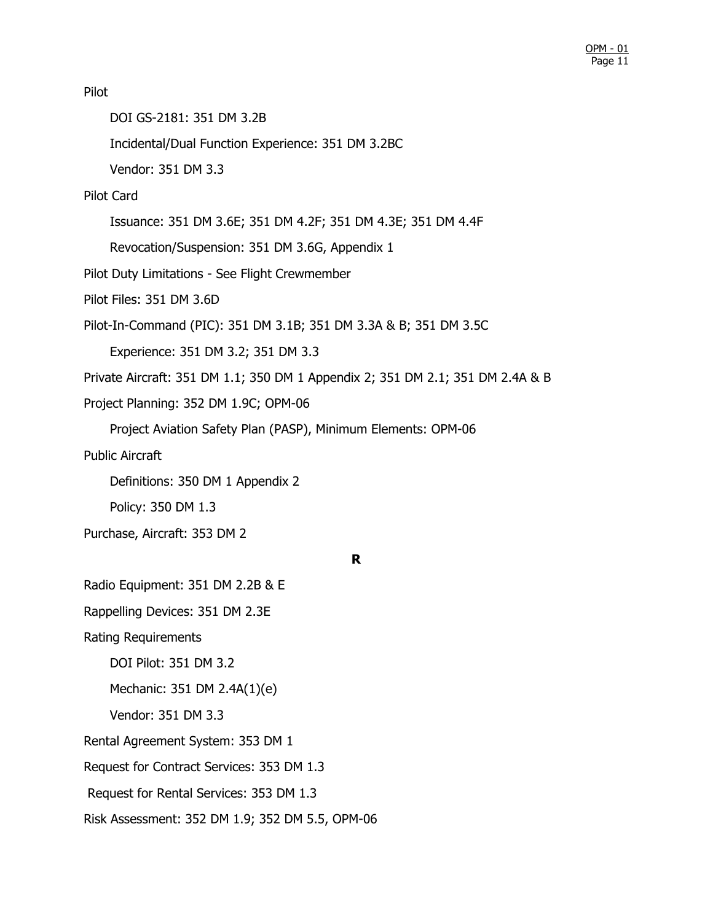Pilot DOI GS-2181: 351 DM 3.2B Incidental/Dual Function Experience: 351 DM 3.2BC Vendor: 351 DM 3.3 Pilot Card Issuance: 351 DM 3.6E; 351 DM 4.2F; 351 DM 4.3E; 351 DM 4.4F Revocation/Suspension: 351 DM 3.6G, Appendix 1 Pilot Duty Limitations - See Flight Crewmember Pilot Files: 351 DM 3.6D Pilot-In-Command (PIC): 351 DM 3.1B; 351 DM 3.3A & B; 351 DM 3.5C Experience: 351 DM 3.2; 351 DM 3.3 Private Aircraft: 351 DM 1.1; 350 DM 1 Appendix 2; 351 DM 2.1; 351 DM 2.4A & B Project Planning: 352 DM 1.9C; OPM-06 Project Aviation Safety Plan (PASP), Minimum Elements: OPM-06 Public Aircraft Definitions: 350 DM 1 Appendix 2 Policy: 350 DM 1.3 Purchase, Aircraft: 353 DM 2 **R** Radio Equipment: 351 DM 2.2B & E Rappelling Devices: 351 DM 2.3E Rating Requirements DOI Pilot: 351 DM 3.2 Mechanic: 351 DM 2.4A(1)(e) Vendor: 351 DM 3.3 Rental Agreement System: 353 DM 1 Request for Contract Services: 353 DM 1.3 Request for Rental Services: 353 DM 1.3 Risk Assessment: 352 DM 1.9; 352 DM 5.5, OPM-06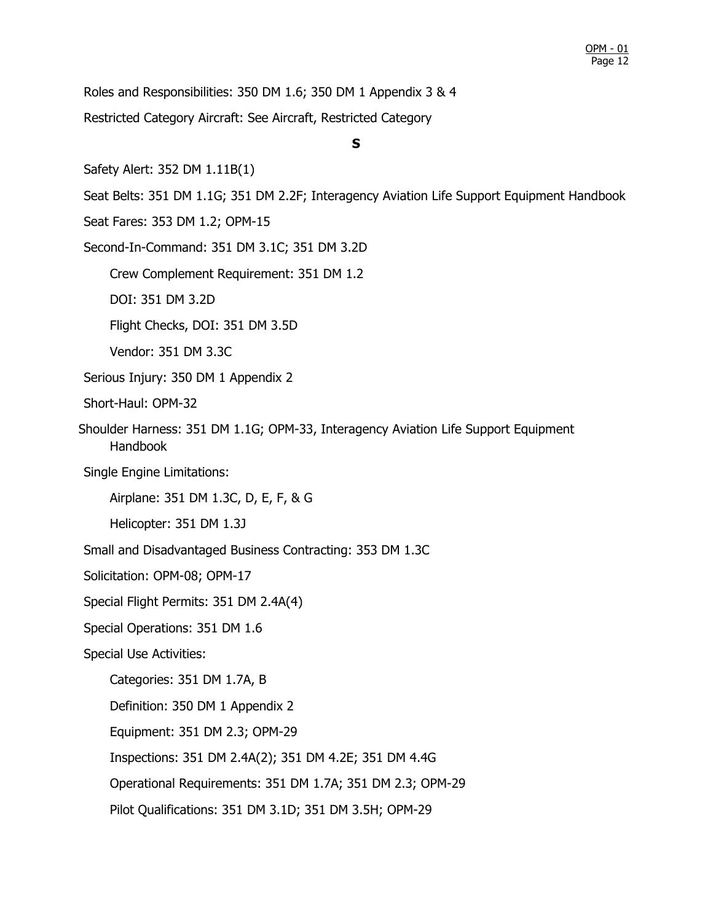Roles and Responsibilities: 350 DM 1.6; 350 DM 1 Appendix 3 & 4 Restricted Category Aircraft: See Aircraft, Restricted Category

## **S**

Safety Alert: 352 DM 1.11B(1)

Seat Belts: 351 DM 1.1G; 351 DM 2.2F; Interagency Aviation Life Support Equipment Handbook

Seat Fares: 353 DM 1.2; OPM-15

Second-In-Command: 351 DM 3.1C; 351 DM 3.2D

Crew Complement Requirement: 351 DM 1.2

DOI: 351 DM 3.2D

Flight Checks, DOI: 351 DM 3.5D

Vendor: 351 DM 3.3C

Serious Injury: 350 DM 1 Appendix 2

Short-Haul: OPM-32

Shoulder Harness: 351 DM 1.1G; OPM-33, Interagency Aviation Life Support Equipment Handbook

Single Engine Limitations:

Airplane: 351 DM 1.3C, D, E, F, & G

Helicopter: 351 DM 1.3J

Small and Disadvantaged Business Contracting: 353 DM 1.3C

Solicitation: OPM-08; OPM-17

Special Flight Permits: 351 DM 2.4A(4)

Special Operations: 351 DM 1.6

Special Use Activities:

Categories: 351 DM 1.7A, B

Definition: 350 DM 1 Appendix 2

Equipment: 351 DM 2.3; OPM-29

Inspections: 351 DM 2.4A(2); 351 DM 4.2E; 351 DM 4.4G

Operational Requirements: 351 DM 1.7A; 351 DM 2.3; OPM-29

Pilot Qualifications: 351 DM 3.1D; 351 DM 3.5H; OPM-29